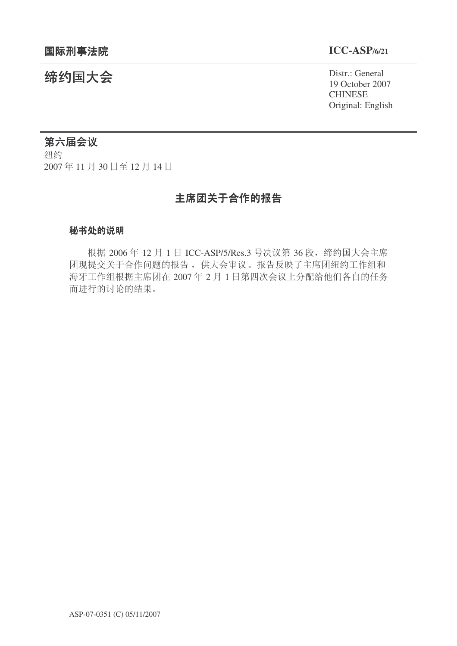19 October 2007 **CHINESE** Original: English

# **缔约国大会**<br>→ Distr.: General

## 第六届会议

纽约 2007年11月30日至12月14日

# 主席团关于合作的报告

#### 秘书处的说明

根据 2006年 12 月 1 日 ICC-ASP/5/Res.3 号决议第 36 段, 缔约国大会主席 团现提交关于合作问题的报告, 供大会审议。报告反映了主席团纽约工作组和 海牙工作组根据主席团在 2007年2月1日第四次会议上分配给他们各自的任务 而进行的讨论的结果。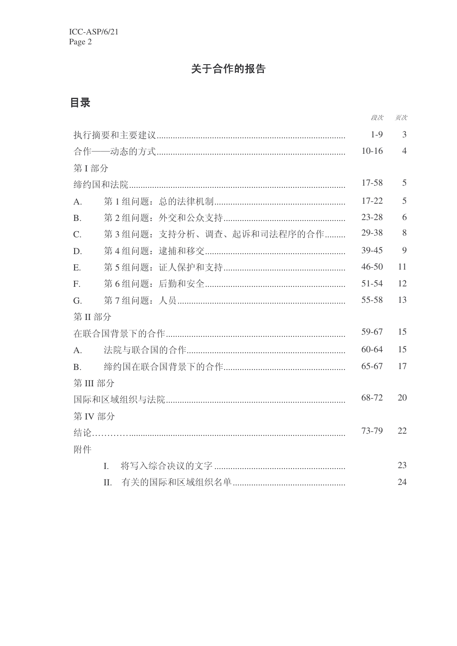# 关于合作的报告

# 目录

|                                              |                |                           | 段次        | 页次             |  |
|----------------------------------------------|----------------|---------------------------|-----------|----------------|--|
|                                              |                |                           |           | $\overline{3}$ |  |
|                                              |                |                           |           | $\overline{4}$ |  |
| 第I部分                                         |                |                           |           |                |  |
|                                              |                |                           |           | 5              |  |
| $\mathsf{A}$ .                               |                |                           | $17 - 22$ | 5              |  |
| <b>B.</b>                                    |                |                           | $23 - 28$ | 6              |  |
| $C$ .                                        |                | 第3组问题: 支持分析、调查、起诉和司法程序的合作 | 29-38     | 8              |  |
| D.                                           |                |                           | 39-45     | 9              |  |
| E.                                           |                |                           | $46 - 50$ | 11             |  |
| F.                                           |                |                           | 51-54     | 12             |  |
| G.                                           |                |                           | 55-58     | 13             |  |
| 第 II 部分                                      |                |                           |           |                |  |
|                                              |                |                           |           | 15             |  |
| $A_{\cdot}$                                  | $60 - 64$      |                           |           | 15             |  |
| <b>B.</b>                                    | 65-67          |                           |           | 17             |  |
| 第III部分                                       |                |                           |           |                |  |
| 68-72                                        |                |                           |           |                |  |
| 第 IV 部分                                      |                |                           |           |                |  |
| 73-79<br>结论……………………………………………………………………………………… |                |                           |           | 22             |  |
| 附件                                           |                |                           |           |                |  |
|                                              | $\mathbf{I}$ . |                           |           |                |  |
|                                              | II.            |                           |           | 24             |  |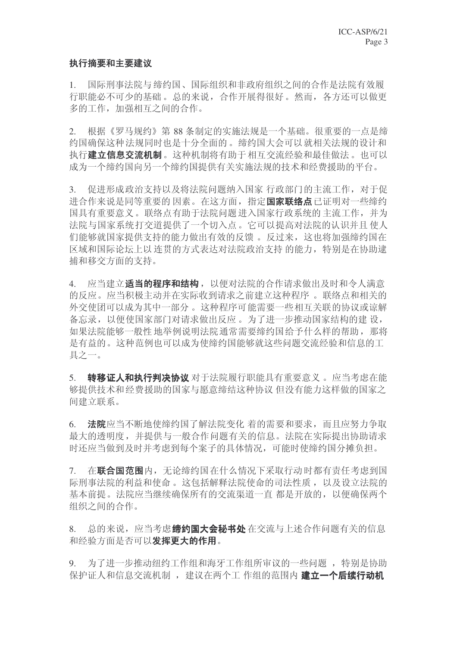#### 执行摘要和主要建议

1. 国际刑事法院与缔约国、国际组织和非政府组织之间的合作是法院有效履 行职能必不可少的基础。总的来说, 合作开展得很好。然而, 各方还可以做更 多的工作, 加强相互之间的合作。

2. 根据《罗马规约》第88 条制定的实施法规是一个基础。很重要的一点是缔 约国确保这种法规同时也是十分全面的。缔约国大会可以就相关法规的设计和 执行建立信息交流机制。这种机制将有助于相互交流经验和最佳做法。也可以 成为一个缔约国提供有关实施法规的技术和经费援助的平台。

3. 促进形成政治支持以及将法院问题纳入国家 行政部门的主流工作, 对于促 进合作来说是同等重要的因素。在这方面, 指定**国家联络点**已证明对一些缔约 国具有重要意义。联络点有助于法院问题讲入国家行政系统的主流工作,并为 法院与国家系统打交道提供了一个切入点。它可以提高对法院的认识并且使人 们能够就国家提供支持的能力做出有效的反馈。反过来,这也将加强缔约国在 区域和国际论坛上以连贯的方式表达对法院政治支持 的能力,特别是在协助逮 捕和移交方面的支持。

4. 应当建立**适当的程序和结构**, 以便对法院的合作请求做出及时和令人满意 的反应。应当积极主动并在实际收到请求之前建立这种程序 。联络点和相关的 外交使团可以成为其中一部分。这种程序可能需要一些相互关联的协议或谅解 备忘录,以便使国家部门对请求做出反应。为了进一步推动国家结构的建设, 如果法院能够一般性 地举例说明法院通常需要缔约国给予什么样的帮助, 那将 是有益的。这种范例也可以成为使缔约国能够就这些问题交流经验和信息的工 具之一。

5. 转移证人和执行判决协议 对于法院履行职能具有重要意义。应当考虑在能 够提供技术和经费援助的国家与愿意缔结这种协议 但没有能力这样做的国家之 间建立联系。

6. 法院应当不断地使缔约国了解法院变化 着的需要和要求,而且应努力争取 最大的透明度, 并提供与一般合作问题有关的信息。法院在实际提出协助请求 时还应当做到及时并考虑到每个案子的具体情况,可能时使缔约国分摊负担。

7. 在联合国范围内, 无论缔约国在什么情况下采取行动时都有责任考虑到国 际刑事法院的利益和使命。这包括解释法院使命的司法性质, 以及设立法院的 基本前提。法院应当继续确保所有的交流渠道一直都是开放的,以便确保两个 组织之间的合作。

8. 总的来说, 应当考虑缩约国大会秘书处在交流与上述合作问题有关的信息 和经验方面是否可以发挥更大的作用。

9. 为了进一步推动纽约工作组和海牙工作组所审议的一些问题, 特别是协助 保护证人和信息交流机制, 建议在两个工作组的范围内 建立一个后续行动机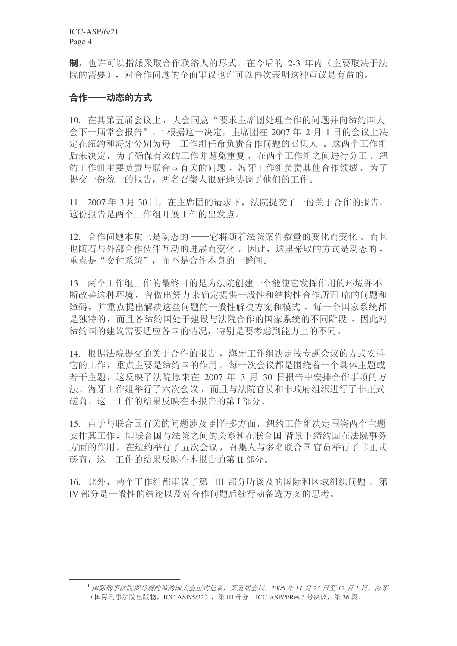制, 也许可以指派采取合作联络人的形式。在今后的 2-3 年内(主要取决于法 院的需要),对合作问题的全面审议也许可以再次表明这种审议是有益的。

#### 合作——动态的方式

10. 在其第五届会议上, 大会同意"要求主席团处理合作的问题并向缔约国大  $\triangle$  下一届常会报告"。<sup>1</sup>根据这一决定,主席团在 2007 年 2 月 1 日的会议上决 定在纽约和海牙分别为每一工作组任命负责合作问题的召集人。这两个工作组 后来决定, 为了确保有效的工作并避免重复, 在两个工作组之间进行分工。纽 约工作组主要负责与联合国有关的问题, 海牙工作组负责其他合作领域。为了 提交一份统一的报告,两名召集人很好地协调了他们的工作。

 $11.2007 \n\pm 3 \n\pm 30$  日, 在主席团的请求下, 法院提交了一份关于合作的报告。 这份报告是两个工作组开展工作的出发点。

12. 合作问题本质上是动态的 ——它将随着法院案件数量的变化而变化。而且 也随着与外部合作伙伴互动的进展而变化。因此,这里采取的方式是动态的, 重点是"交付系统",而不是合作本身的一瞬间。

13. 两个工作组工作的最终目的是为法院创建一个能使它发挥作用的环境并不 断改善这种环境。曾做出努力来确定提供一般性和结构性合作所面 临的问题和 隨碍,并重点提出解决这些问题的一般性解决方案和模式。每一个国家系统都 是独特的,而且各缔约国处于建设与法院合作的国家系统的不同阶段。因此对 缔约国的建议需要适应各国的情况,特别是要考虑到能力上的不同。

14. 根据法院提交的关于合作的报告, 海牙工作组决定按专题会议的方式安排 它的工作, 重点主要是缔约国的作用。每一次会议都是围绕着一个具体主题或 若干主题, 这反映了法院原来在 2007 年 3 月 30 日报告中安排合作事项的方 法。海牙工作组举行了六次会议,而且与法院官员和非政府组织进行了非正式 磋商。这一工作的结果反映在本报告的第I部分。

15. 由于与联合国有关的问题涉及到许多方面, 纽约工作组决定围绕两个主题 安排其工作,即联合国与法院之间的关系和在联合国 背景下缔约国在法院事务 方面的作用。在纽约举行了五次会议,召集人与多名联合国官员举行了非正式 磋商, 这一工作的结果反映在本报告的第 II 部分。

16. 此外, 两个工作组都审议了第 III 部分所谈及的国际和区域组织问题。第 IV 部分是一般性的结论以及对合作问题后续行动备选方案的思考。

<sup>&</sup>lt;sup>1</sup> 国际刑事法院罗马规约缔约国大会正式记录, 第五届会议, 2006 年 11 月 23 日至 12 月 1 日, 海牙 (国际刑事法院出版物, ICC-ASP/5/32), 第 III 部分, ICC-ASP/5/Res.3 号决议, 第 36 段。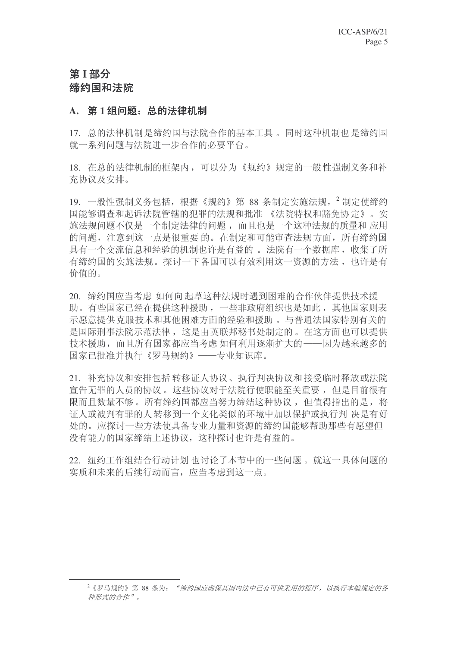# 第1部分 缔约国和法院

#### A. 第1组问题: 总的法律机制

17. 总的法律机制是缔约国与法院合作的基本工具。同时这种机制也是缔约国 就一系列问题与法院进一步合作的必要平台。

18. 在总的法律机制的框架内,可以分为《规约》规定的一般性强制义务和补 充协议及安排。

19. 一般性强制义务包括, 根据《规约》第 88 条制定实施法规, <sup>2</sup> 制定使缔约 国能够调查和起诉法院管辖的犯罪的法规和批准 《法院特权和豁免协 定》。实 施法规问题不仅是一个制定法律的问题,而且也是一个这种法规的质量和 应用 的问题, 注意到这一点是很重要的。在制定和可能审查法规方面, 所有缔约国 具有一个交流信息和经验的机制也许是有益的。 法院有一个数据库, 收集了所 有缔约国的实施法规。探讨一下各国可以有效利用这一资源的方法, 也许是有 价值的。

20. 缔约国应当考虑如何向起草这种法规时遇到困难的合作伙伴提供技术援 助。有些国家已经在提供这种援助,一些非政府组织也是如此,其他国家则表 示愿意提供克服技术和其他困难方面的经验和援助。 与普通法国家特别有关的 是国际刑事法院示范法律, 这是由英联邦秘书处制定的。在这方面也可以提供 技术援助,而且所有国家都应当考虑如何利用逐渐扩大的 -- 因为越来越多的 国家已批准并执行《罗马规约》——专业知识库。

21. 补充协议和安排包括转移证人协议、执行判决协议和接受临时释放或法院 宣告无罪的人员的协议。这些协议对于法院行使职能至关重要,但是目前很有 限而且数量不够。所有缔约国都应当努力缔结这种协议, 但值得指出的是, 将 证人或被判有罪的人转移到一个文化类似的环境中加以保护或执行判 决是有好 处的。应探讨一些方法使具备专业力量和资源的缔约国能够帮助那些有愿望但 没有能力的国家缔结上述协议,这种探讨也许是有益的。

22. 纽约工作组结合行动计划 也讨论了本节中的一些问题。就这一具体问题的 实质和未来的后续行动而言, 应当考虑到这一点。

<sup>&</sup>lt;sup>2</sup>《罗马规约》第88 条为: "缔约国应确保其国内法中已有可供采用的程序, 以执行本编规定的各 种形式的合作"。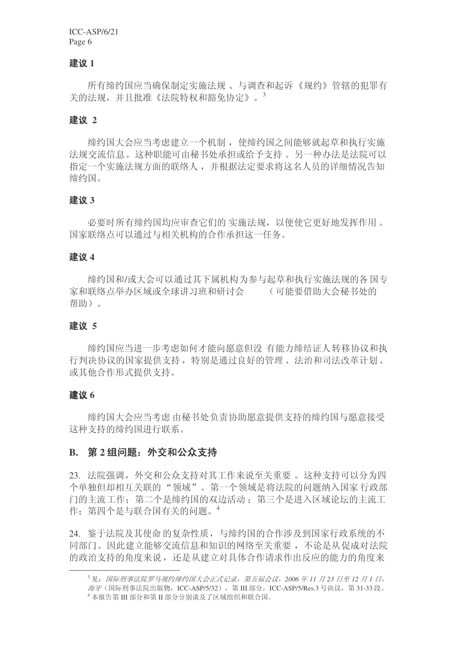#### 建议 1

所有缔约国应当确保制定实施法规、 与调查和起诉《规约》管辖的犯罪有 关的法规,并且批准《法院特权和豁免协定》。 $^3$ 

#### 建议 2

缔约国大会应当考虑建立一个机制, 使缔约国之间能够就起草和执行实施 法规交流信息。这种职能可由秘书处承担或给予支持 。另一种办法是法院可以 指定一个实施法规方面的联络人,并根据法定要求将这名人员的详细情况告知 缔约国。

#### ᓎ䆂 **3**

必要时所有缔约国均应审查它们的 实施法规,以便使它更好地发挥作用。 国家联络点可以通过与相关机构的合作承担这一任务。

#### 建议 4

缔约国和/或大会可以通过其下属机构为参与起草和执行实施法规的各国专 家和联络点举办区域或全球讲习班和研讨会。 (可能要借助大会秘书处的 帮助)。

#### 建议 5

缔约国应当进一步考虑如何才能向愿意但没 有能力缔结证人转移协议和执 行判决协议的国家提供支持,特别是通过良好的管理、法治和司法改革计划、 或其他合作形式提供支持。

#### 建议 **6**

缔约国大会应当考虑由秘书处负责协助愿意提供支持的缔约国与愿意接受 这种支持的缔约国讲行联系。

#### **B.** 第2 组问题: 外交和公众支持

23. 法院强调, 外交和公众支持对其工作来说至关重要。这种支持可以分为四 个单独但却相互关联的"领域"。第一个领域是将法院的问题纳入国家行政部 门的主流工作;第二个是缔约国的双边活动;第三个是进入区域论坛的主流工 作: 第四个是与联合国有关的问题。<sup>4</sup>

24. 鉴于法院及其使命的复杂性质,与缔约国的合作涉及到国家行政系统的不 同部门。因此建立能够交流信息和知识的网络至关重要, 不论是从促成对法院 的政治支持的角度来说, 还是从建立对具体合作请求作出反应的能力的角度来

<sup>&</sup>lt;sup>3</sup> 见: 国际刑事法院罗马规约缔约国大会正式记录, 第五届会议, 2006 年11 月 23 日至 12 月 1 日,

海牙(国际刑事法院出版物, ICC-ASP/5/32), 第Ⅲ部分, ICC-ASP/5/Res.3 号决议, 第31-33 段。

 $4 \times 4$  本报告第 III 部分和第 II 部分分别谈及了区域组织和联合国。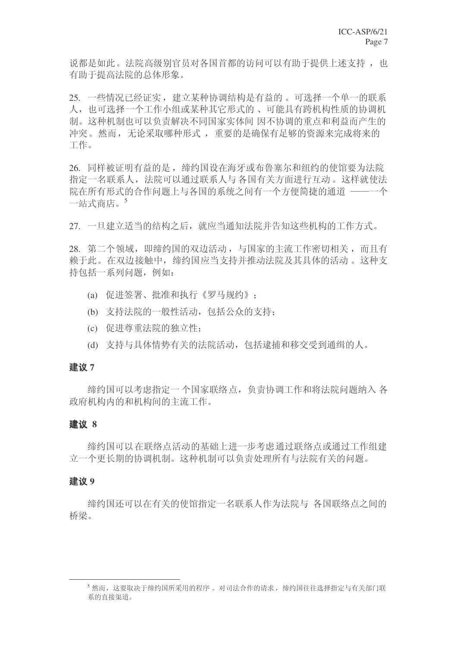说都是如此。法院高级别官员对各国首都的访问可以有助于提供上述支持, 也 有助干提高法院的总体形象。

25. 一些情况已经证实,建立某种协调结构是有益的。可选择一个单一的联系 人, 也可选择一个工作小组或某种其它形式的、可能具有跨机构性质的协调机 制。这种机制也可以负责解决不同国家实体间 因不协调的重点和利益而产生的 冲突。然而,无论采取哪种形式,重要的是确保有足够的资源来完成将来的 工作。

26. 同样被证明有益的是, 缔约国设在海牙或布鲁塞尔和纽约的使馆要为法院 指定一名联系人, 法院可以通过联系人与各国有关方面进行互动。这样就使法 院在所有形式的合作问题上与各国的系统之间有一个方便简捷的通道 ——一个 一站式商店。5

27. 一旦建立适当的结构之后, 就应当通知法院并告知这些机构的工作方式。

28. 第二个领域, 即缔约国的双边活动, 与国家的主流工作密切相关, 而且有 赖于此。在双边接触中, 缔约国应当支持并推动法院及其具体的活动。这种支 持包括一系列问题, 例如:

- (a) 促进签署、批准和执行《罗马规约》;
- (b) 支持法院的一般性活动, 包括公众的支持:
- (c) 促进尊重法院的独立性:
- (d) 支持与具体情势有关的法院活动, 包括逮捕和移交受到通缉的人。

#### 建议 **7**

缔约国可以考虑指定一个国家联络点,负责协调工作和将法院问题纳入各 政府机构内的和机构间的主流工作。

#### ᓎ䆂 **8**

缔约国可以在联络点活动的基础上进一步考虑通过联络点或通过工作组建 立一个更长期的协调机制。这种机制可以负责处理所有与法院有关的问题。

#### 建议 9

缔约国还可以在有关的使馆指定一名联系人作为法院与《各国联络点之间的 桥梁。

 $^5$ 然而,这要取决于缔约国所采用的程序。对司法合作的请求,缩约国往往选择指定与有关部门联 系的直接渠道。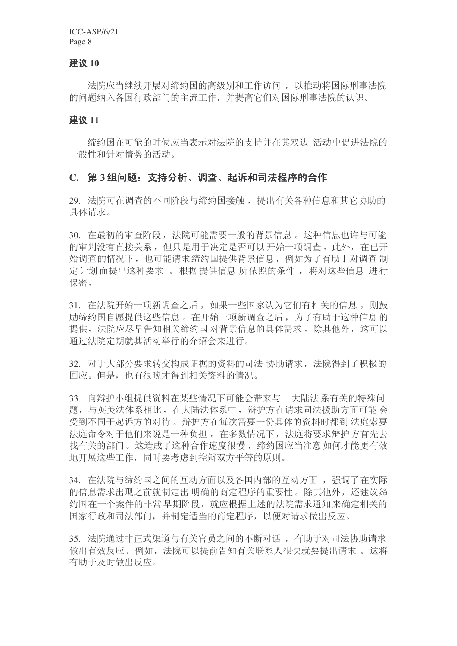#### 建议 10

法院应当继续开展对缔约国的高级别和工作访问, 以推动将国际刑事法院 的问题纳入各国行政部门的主流工作,并提高它们对国际刑事法院的认识。

#### 建议 11

缔约国在可能的时候应当表示对法院的支持并在其双边 活动中促进法院的 一般性和针对情势的活动。

#### C. 第3组问题: 支持分析、调查、起诉和司法程序的合作

29. 法院可在调查的不同阶段与缔约国接触, 提出有关各种信息和其它协助的 具体请求。

30. 在最初的审查阶段, 法院可能需要一般的背景信息。这种信息也许与可能 的审判没有直接关系,但只是用于决定是否可以开始一项调查。此外,在已开 始调杳的情况下, 也可能请求缔约国提供背景信息, 例如为了有助于对调杳 制 定计划而提出这种要求。根据提供信息所依照的条件, 将对这些信息 进行 保密。

31. 在法院开始一项新调查之后, 如果一些国家认为它们有相关的信息, 则鼓 励缔约国自愿提供这些信息。在开始一项新调查之后, 为了有助于这种信息的 提供, 法院应尽早告知相关缔约国 对背景信息的具体需求。除其他外, 这可以 通过法院定期就其活动举行的介绍会来进行。

32. 对于大部分要求转交构成证据的资料的司法 协助请求, 法院得到了积极的 回应。但是, 也有很晚才得到相关资料的情况。

33. 向辩护小组提供资料在某些情况下可能会带来与 大陆法系有关的特殊问 题, 与英美法体系相比, 在大陆法体系中, 辩护方在请求司法援助方面可能 会 受到不同于起诉方的对待。辩护方在每次需要一份具体的资料时都到 法庭索要 法庭命令对于他们来说是一种负担。在多数情况下, 法庭将要求辩护方首先夫 找有关的部门。这造成了这种合作速度很慢, 缔约国应当注意如何才能更有效 地开展这些工作,同时要考虑到控辩双方平等的原则。

34. 在法院与缔约国之间的互动方面以及各国内部的互动方面, 强调了在实际 的信息需求出现之前就制定出 明确的商定程序的重要性。除其他外, 还建议缔 约国在一个案件的非常 早期阶段,就应根据上述的法院需求通知来确定相关的 国家行政和司法部门,并制定适当的商定程序,以便对请求做出反应。

35. 法院通过非正式渠道与有关官员之间的不断对话, 有助于对司法协助请求 做出有效反应。例如, 法院可以提前告知有关联系人很快就要提出请求。这将 有助于及时做出反应。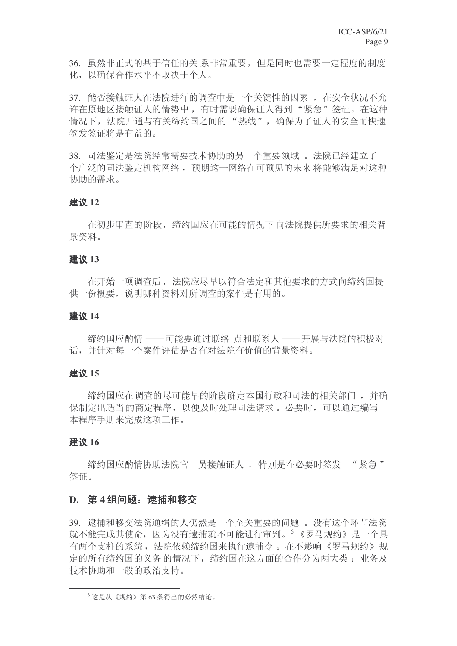36. 虽然非正式的基于信任的关系非常重要, 但是同时也需要一定程度的制度 化, 以确保合作水平不取决于个人。

37. 能否接触证人在法院进行的调查中是一个关键性的因素, 在安全状况不允 许在原地区接触证人的情势中, 有时需要确保证人得到"紧急"签证。在这种 情况下, 法院开通与有关缔约国之间的"热线", 确保为了证人的安全而快速 签发签证将是有益的。

38. 司法鉴定是法院经常需要技术协助的另一个重要领域。法院已经建立了一 个广泛的司法鉴定机构网络, 预期这一网络在可预见的未来 将能够满足对这种 协助的需求。

#### 建议 12

在初步审查的阶段, 缔约国应在可能的情况下 向法院提供所要求的相关背 景资料。

#### 建议 13

在开始一项调查后, 法院应尽早以符合法定和其他要求的方式向缔约国提 供一份概要,说明哪种资料对所调杳的案件是有用的。

#### ᓎ䆂 **14**

缔约国应酌情 ——可能要通过联络 点和联系人 —— 开展与法院的积极对 话,并针对每一个案件评估是否有对法院有价值的背景资料。

#### 建议 15

缔约国应在调查的尽可能早的阶段确定本国行政和司法的相关部门,并确 保制定出适当的商定程序,以便及时处理司法请求。必要时,可以通过编写一 本程序手册来完成这项工作。

#### 建议 16

缔约国应酌情协助法院官 员接触证人,特别是在必要时签发 "紧急" 签证。

#### D. 第4组问题: 逮捕和移交

39. 逮捕和移交法院通缉的人仍然是一个至关重要的问题。没有这个环节法院 就不能完成其使命, 因为没有逮捕就不可能进行审判。<sup>6</sup> 《罗马规约》是一个具 有两个支柱的系统, 法院依赖缔约国来执行逮捕令。在不影响《罗马规约》规 定的所有缔约国的义务的情况下, 缔约国在这方面的合作分为两大类: 业务及 技术协助和一般的政治支持。

<sup>6</sup> 这是从《规约》第63条得出的必然结论。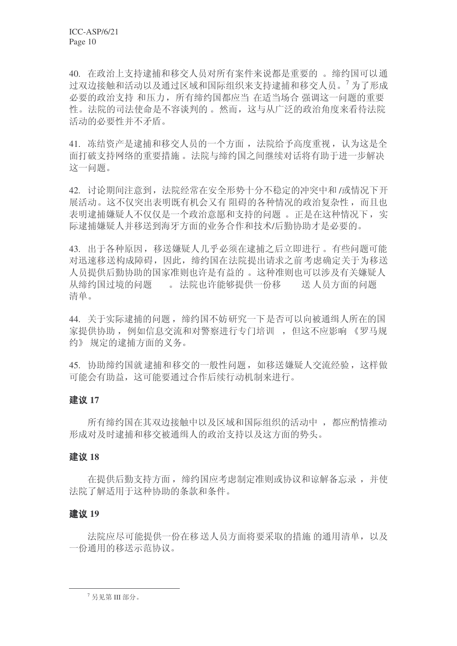40. 在政治上支持逮捕和移交人员对所有案件来说都是重要的。缔约国可以通 讨双边接触和活动以及通过区域和国际组织来支持逮捕和移交人员。<sup>7</sup>为了形成 必要的政治支持和压力, 所有缔约国都应当 在话当场合 强调这一问题的重要 性。法院的司法使命是不容谈判的。然而,这与从广泛的政治角度来看待法院 活动的必要性并不矛盾。

41. 冻结资产是逮捕和移交人员的一个方面, 法院给予高度重视, 认为这是全 面打破支持网络的重要措施。法院与缔约国之间继续对话将有助于进一步解决 这一问题。

42. 讨论期间注意到, 法院经常在安全形势十分不稳定的冲突中和/或情况下开 展活动。这不仅突出表明既有机会又有 阳碍的各种情况的政治复杂性,而且也 表明逮捕嫌疑人不仅仅是一个政治意愿和支持的问题。正是在这种情况下, 实 际逮捕嫌疑人并移送到海牙方面的业务合作和技术/后勤协助才是必要的。

43. 出于各种原因, 移送嫌疑人几乎必须在逮捕之后立即进行。有些问题可能 对迅速移送构成障碍,因此,缩约国在法院提出请求之前考虑确定关于为移送 人员提供后勤协助的国家准则也许是有益的。这种准则也可以涉及有关嫌疑人 从缔约国过境的问题。。 法院也许能够提供一份移 送人员方面的问题 清单。

44. 关于实际逮捕的问题, 缔约国不妨研究一下是否可以向被通缉人所在的国 家提供协助, 例如信息交流和对警察进行专门培训, 但这不应影响 《罗马规 约》规定的逮捕方面的义务。

45. 协助缔约国就逮捕和移交的一般性问题, 如移送嫌疑人交流经验, 这样做 可能会有助益, 这可能要通过合作后续行动机制来进行。

#### 建议 17

所有缔约国在其双边接触中以及区域和国际组织的活动中, 都应酌情推动 形成对及时逮捕和移交被通缉人的政治支持以及这方面的势头。

#### ᓎ䆂 **18**

在提供后勤支持方面, 缔约国应考虑制定准则或协议和谅解备忘录, 并使 法院了解活用于这种协助的条款和条件。

#### 建议 19

法院应尽可能提供一份在移送人员方面将要采取的措施的通用清单,以及 一份通用的移送示范协议。

 $7$  另见第 III 部分。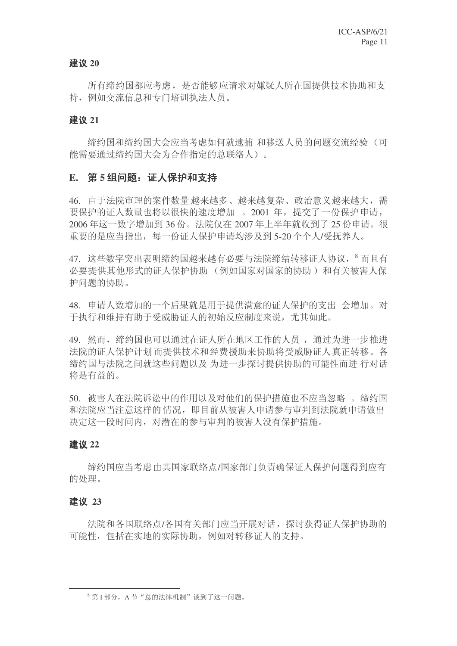#### 建议 20

所有缔约国都应考虑, 是否能够应请求对嫌疑人所在国提供技术协助和支 持, 例如交流信息和专门培训执法人员。

#### 建议 21

缔约国和缔约国大会应当考虑如何就逮捕 和移送人员的问题交流经验 (可 能需要通过缔约国大会为合作指定的总联络人)。

#### E. 第5组问题: 证人保护和支持

46. 由于法院审理的案件数量 越来越多、越来越复杂、政治意义越来越大。需 要保护的证人数量也将以很快的速度增加。2001 年, 提交了一份保护申请,  $2006$ 年这一数字增加到 36份。法院仅在 2007年上半年就收到了 25 份申请。很 重要的是应当指出,每一份证人保护申请均涉及到5-20个个人/受抚养人。

47. 这些数字突出表明缔约国越来越有必要与法院缔结转移证人协议, 8 而且有 必要提供其他形式的证人保护协助 (例如国家对国家的协助) 和有关被害人保 护问题的协助。

48. 申请人数增加的一个后果就是用于提供满意的证人保护的支出 会增加。对 于执行和维持有助于受威胁证人的初始反应制度来说, 尤其如此。

49. 然而, 缔约国也可以通过在证人所在地区工作的人员, 通过为进一步推进 法院的证人保护计划而提供技术和经费援助来协助将受威胁证人真正转移。各 缔约国与法院之间就这些问题以及 为进一步探讨提供协助的可能性而进 行对话 将是有益的。

50. 被害人在法院诉讼中的作用以及对他们的保护措施也不应当忽略 。缔约国 和法院应当注意这样的 情况,即目前从被害人申请参与审判到法院就申请做出 决定这一段时间内, 对潜在的参与审判的被害人没有保护措施。

#### 建议 22

缔约国应当考虑由其国家联络点/国家部门负责确保证人保护问题得到应有 的处理。

#### ᓎ䆂 **23**

法院和各国联络点/各国有关部门应当开展对话, 探讨获得证人保护协助的 可能性, 包括在实地的实际协助, 例如对转移证人的支持。

 $8$  第 I 部分, A 节 "总的法律机制"谈到了这一问题。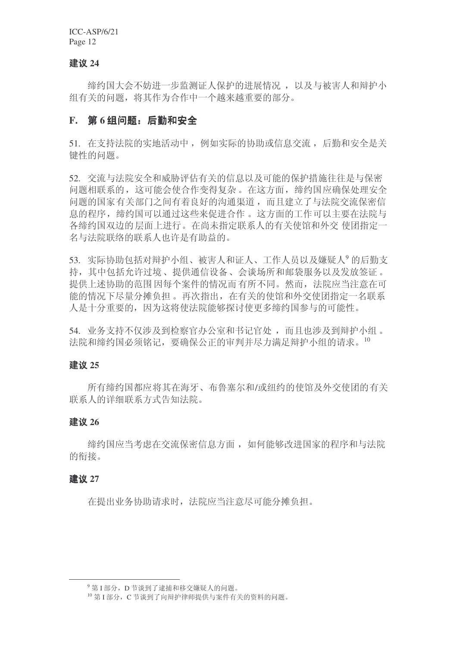#### 建议 24

缔约国大会不妨进一步监测证人保护的进展情况, 以及与被害人和辩护小 组有关的问题,将其作为合作中一个越来越重要的部分。

#### E. 第6组问题: 后勤和安全

51. 在支持法院的实地活动中, 例如实际的协助或信息交流, 后勤和安全是关 键性的问题。

52. 交流与法院安全和威胁评估有关的信息以及可能的保护措施往往是与保密 问题相联系的,这可能会使合作变得复杂。在这方面,缔约国应确保处理安全 问题的国家有关部门之间有着良好的沟通渠道,而且建立了与法院交流保密信 息的程序, 缔约国可以通过这些来促进合作。这方面的工作可以主要在法院与 各缔约国双边的层面上进行。在尚未指定联系人的有关使馆和外交 使团指定一 名与法院联络的联系人也许是有助益的。

53. 实际协助包括对辩护小组、被害人和证人、工作人员以及嫌疑人<sup>9</sup>的后勤支 持, 其中包括允许过境、提供通信设备、会谈场所和邮袋服务以及发放签证。 提供上述协助的范围因每个案件的情况而有所不同。然而,法院应当注意在可 能的情况下尽量分摊负担。再次指出,在有关的使馆和外交使团指定一名联系 人是十分重要的, 因为这将使法院能够探讨使更多缔约国参与的可能性。

54. 业务支持不仅涉及到检察官办公室和书记官处,而且也涉及到辩护小组。 法院和缔约国必须铭记,要确保公正的审判并尽力满足辩护小组的请求。10

#### ᓎ䆂 **25**

所有缔约国都应将其在海牙、布鲁塞尔和/或纽约的使馆及外交使团的有关 联系人的详细联系方式告知法院。

#### 建议 26

缔约国应当考虑在交流保密信息方面, 如何能够改进国家的程序和与法院 的衔接。

#### ᓎ䆂 **27**

在提出业务协助请求时, 法院应当注意尽可能分摊负担。

<sup>9</sup> 第I 部分, D 节谈到了逮捕和移交嫌疑人的问题。

<sup>&</sup>lt;sup>10</sup> 第 I 部分, C 节谈到了向辩护律师提供与案件有关的资料的问题。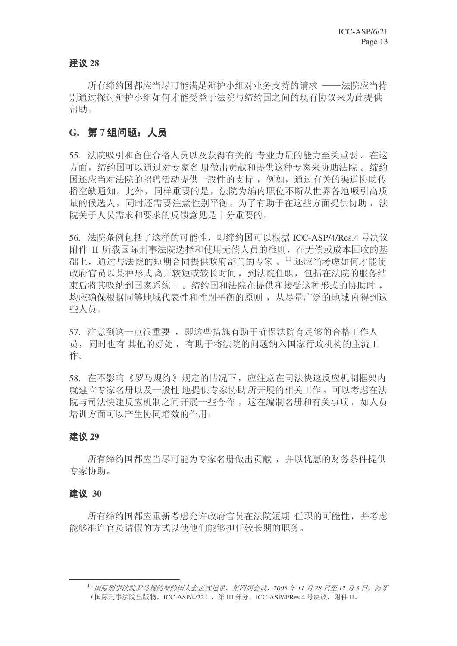#### ᓎ䆂 **28**

所有缔约国都应当尽可能满足辩护小组对业务支持的请求 ——法院应当特 别通讨探讨辩护小组如何才能受益于法院与缔约国之间的现有协议来为此提供 帮助。

### G. 第7组问题: 人员

55. 法院吸引和留住合格人员以及获得有关的 专业力量的能力至关重要。在这 方面, 缔约国可以通过对专家名 册做出贡献和提供这种专家来协助法院。缔约 国还应当对法院的招聘活动提供一般性的支持, 例如, 通过有关的渠道协助传 播空缺通知。此外,同样重要的是, 法院为编内职位不断从世界各地吸引高质 量的候选人,同时还需要注意性别平衡。为了有助于在这些方面提供协助, 法 院关于人员需求和要求的反馈意见是十分重要的。

56. 法院条例包括了这样的可能性, 即缔约国可以根据 ICC-ASP/4/Res.4 号决议 附件 II 所载国际刑事法院选择和使用无偿人员的准则, 在无偿或成本回收的基 础上,通过与法院的短期合同提供政府部门的专家。11 还应当考虑如何才能使 政府官员以某种形式离开较短或较长时间, 到法院任职, 包括在法院的服务结 束后将其吸纳到国家系统中。缔约国和法院在提供和接受这种形式的协助时, 均应确保根据同等地域代表性和性别平衡的原则, 从尽量广泛的地域内得到这 些人员。

57. 注意到这一点很重要, 即这些措施有助于确保法院有足够的合格工作人 员, 同时也有其他的好处, 有助于将法院的问题纳入国家行政机构的主流工 作。

58. 在不影响《罗马规约》规定的情况下, 应注意在司法快速反应机制框架内 就建立专家名册以及一般性 地提供专家协助所开展的相关工作。可以考虑在法 院与司法快速反应机制之间开展一些合作, 这在编制名册和有关事项, 如人员 培训方面可以产生协同增效的作用。

#### ᓎ䆂 **29**

所有缔约国都应当尽可能为专家名册做出贡献, 并以优惠的财务条件提供 专家协助。

#### 建议 30

所有缔约国都应重新考虑允许政府官员在法院短期 任职的可能性,并考虑 能够准许官员请假的方式以使他们能够担任较长期的职务。

<sup>&</sup>lt;sup>11</sup> 国际刑事法院罗马规约缔约国大会正式记录, 第四届会议, 2005 年11 月28 日至12 月3 日, 海牙 (国际刑事法院出版物, ICC-ASP/4/32), 第 III 部分, ICC-ASP/4/Res.4 号决议, 附件 II。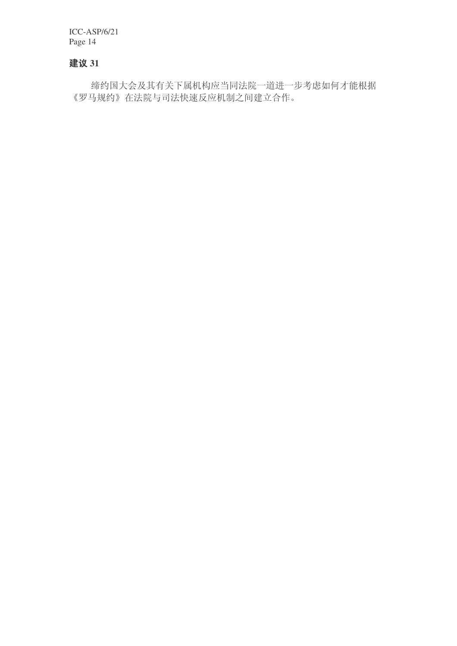### 建议 31

缔约国大会及其有关下属机构应当同法院一道进一步考虑如何才能根据 《罗马规约》在法院与司法快速反应机制之间建立合作。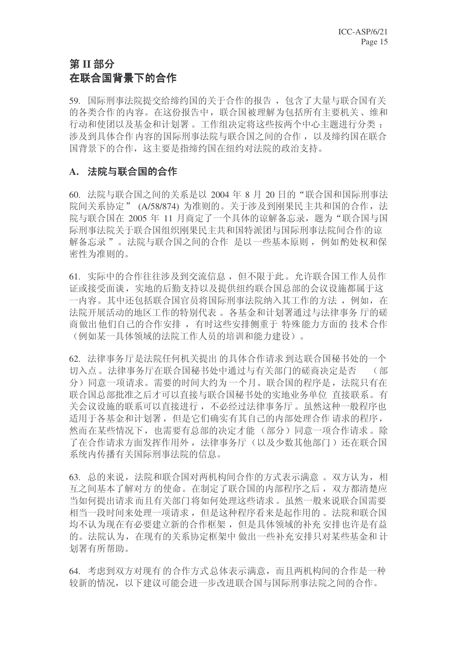# **第Ⅱ部分** 在联合国背景下的合作

59. 国际刑事法院提交给缔约国的关于合作的报告, 包含了大量与联合国有关 的各类合作的内容。在这份报告中, 联合国被理解为包括所有主要机关、维和 行动和使团以及基金和计划署。工作组决定将这些按两个中心主题进行分类: 涉及到具体合作内容的国际刑事法院与联合国之间的合作, 以及缔约国在联合 国背景下的合作, 这主要是指缔约国在纽约对法院的政治支持。

### A. 法院与联合国的合作

60. 法院与联合国之间的关系是以 2004 年 8 月 20 日的"联合国和国际刑事法 院间关系协定" (A/58/874) 为准则的。关于涉及到刚果民主共和国的合作, 法 院与联合国在 2005 年 11 月商定了一个具体的谅解备忘录, 题为"联合国与国 际刑事法院关于联合国组织刚果民主共和国特派团与国际刑事法院间合作的谅 解备忘录"。法院与联合国之间的合作 是以一些基本原则, 例如酌处权和保 密性为准则的。

61. 实际中的合作往往涉及到交流信息, 但不限于此。允许联合国工作人员作 证或接受面谈, 实地的后勤支持以及提供纽约联合国总部的会议设施都属于这 一内容。其中还包括联合国官员将国际刑事法院纳入其工作的方法, 例如, 在 法院开展活动的地区工作的特别代表。各基金和计划署通过与法律事务 厅的磋 商做出他们自己的合作安排, 有时这些安排侧重于 特殊能力方面的 技术合作 (例如某一具体领域的法院工作人员的培训和能力建设)。

62. 法律事务厅是法院任何机关提出的具体合作请求到达联合国秘书处的一个 切入点。法律事务厅在联合国秘书处中通过与有关部门的磋商决定是否 (部 分)同意一项请求。需要的时间大约为一个月。联合国的程序是, 法院只有在 联合国总部批准之后才可以直接与联合国秘书处的实地业务单位 直接联系。有 关会议设施的联系可以直接进行, 不必经过法律事务厅。虽然这种一般程序也 适用于各基金和计划署,但是它们确实有其自己的内部处理合作 请求的程序, 然而在某些情况下, 也需要有总部的决定才能(部分)同意一项合作请求。除 了在合作请求方面发挥作用外, 法律事务厅(以及少数其他部门) 还在联合国 系统内传播有关国际刑事法院的信息。

63. 总的来说, 法院和联合国对两机构间合作的方式表示满意。双方认为, 相 互之间基本了解对方的使命。在制定了联合国的内部程序之后, 双方都清楚应 当如何提出请求而且有关部门将如何处理这些请求。虽然一般来说联合国需要 相当一段时间来处理一项请求,但是这种程序看来是起作用的。法院和联合国 均不认为现在有必要建立新的合作框架,但是具体领域的补充安排也许是有益 的。法院认为, 在现有的关系协定框架中 做出一些补充安排只对某些基金和 计 划署有所帮助。

64. 考虑到双方对现有的合作方式总体表示满意,而且两机构间的合作是一种 较新的情况,以下建议可能会讲一步改讲联合国与国际刑事法院之间的合作。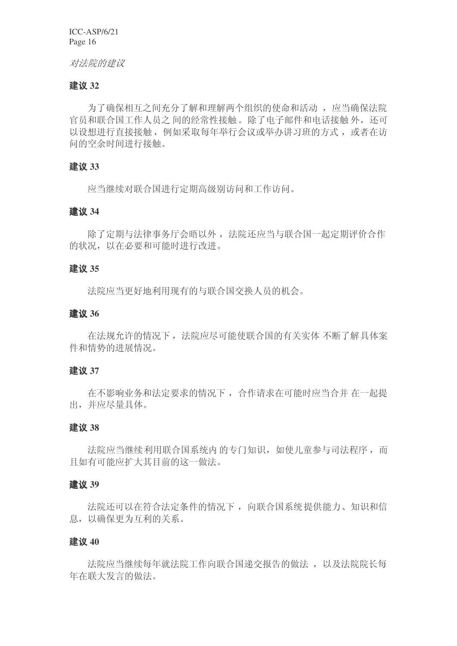#### 对法院的建议

#### 建议 32

为了确保相互之间充分了解和理解两个组织的使命和活动, 应当确保法院 官员和联合国工作人员之间的经常性接触。除了电子邮件和电话接触外,还可 以设想进行直接接触, 例如采取每年举行会议或举办讲习班的方式, 或者在访 问的空余时间讲行接触。

#### ᓎ䆂 **33**

应当继续对联合国进行定期高级别访问和工作访问。

#### ᓎ䆂 **34**

除了定期与法律事务厅会晤以外, 法院还应当与联合国一起定期评价合作 的状况, 以在必要和可能时讲行改讲。

#### ᓎ䆂 **35**

法院应当更好地利用现有的与联合国交换人员的机会。

#### ᓎ䆂 **36**

在法规允许的情况下, 法院应尽可能使联合国的有关实体 不断了解具体案 件和情势的进展情况。

#### ᓎ䆂 **37**

在不影响业务和法定要求的情况下, 合作请求在可能时应当合并 在一起提 出,并应尽量具体。

#### ᓎ䆂 **38**

法院应当继续利用联合国系统内的专门知识,如使儿童参与司法程序,而 且如有可能应扩大其目前的这一做法。

#### ᓎ䆂 **39**

法院还可以在符合法定条件的情况下, 向联合国系统提供能力、知识和信 息,以确保更为互利的关系。

#### 建议 40

法院应当继续每年就法院工作向联合国递交报告的做法, 以及法院院长每 年在联大发言的做法。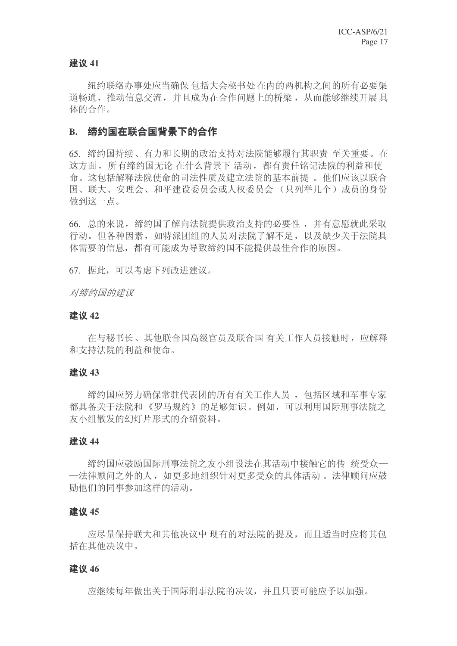#### 建议 41

纽约联络办事处应当确保 包括大会秘书处 在内的两机构之间的所有必要渠 道畅通, 推动信息交流, 并且成为在合作问题上的桥梁, 从而能够继续开展具 体的合作。

#### B. 缔约国在联合国背景下的合作

65. 缔约国持续、有力和长期的政治支持对法院能够履行其职责 至关重要。在 这方面, 所有缔约国无论 在什么背景下 活动, 都有责任铭记法院的利益和使 命。这包括解释法院使命的司法性质及建立法院的基本前提。他们应该以联合 国、联大、安理会、和平建设委员会或人权委员会(只列举几个)成员的身份 做到这一点。

66. 总的来说, 缔约国了解向法院提供政治支持的必要性, 并有意愿就此采取 行动。但各种因素, 如特派团组的人员对法院了解不足, 以及缺少关于法院具 体需要的信息,都有可能成为导致缔约国不能提供最佳合作的原因。

67. 据此,可以考虑下列改进建议。

#### 对缔约国的建议

#### 建议 42

在与秘书长、其他联合国高级官员及联合国有关工作人员接触时, 应解释 和支持法院的利益和使命。

#### 建议 43

缔约国应努力确保常驻代表团的所有有关工作人员, 包括区域和军事专家 都具备关于法院和《罗马规约》的足够知识。例如,可以利用国际刑事法院之 友小组散发的幻灯片形式的介绍资料。

#### 建议 44

缔约国应鼓励国际刑事法院之友小组设法在其活动中接触它的传 统受众一 一法律顾问之外的人,如更多地组织针对更多受众的具体活动。 法律顾问应鼓 励他们的同事参加这样的活动。

#### 建议 45

应尽量保持联大和其他决议中 现有的对法院的提及,而且适当时应将其包 括在其他决议中。

#### 建议 46

应继续每年做出关于国际刑事法院的决议,并且只要可能应予以加强。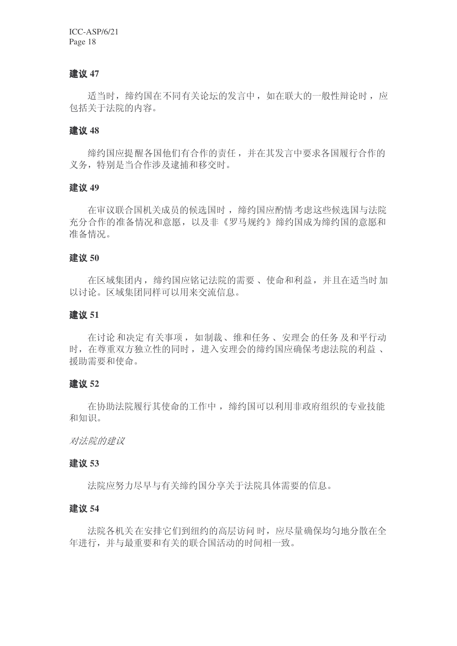#### 建议 47

适当时, 缔约国在不同有关论坛的发言中, 如在联大的一般性辩论时, 应 包括关于法院的内容。

#### ᓎ䆂 **48**

缔约国应提醒各国他们有合作的责任,并在其发言中要求各国履行合作的 义务, 特别是当合作涉及逮捕和移交时。

#### ᓎ䆂 **49**

在审议联合国机关成员的候选国时, 缔约国应酌情考虑这些候选国与法院 充分合作的准备情况和意愿, 以及非《罗马规约》缔约国成为缔约国的意愿和 准备情况。

#### ᓎ䆂 **50**

在区域集团内, 缔约国应铭记法院的需要、使命和利益, 并且在适当时加 以讨论。区域集团同样可以用来交流信息。

#### ᓎ䆂 **51**

在讨论和决定有关事项, 如制裁、维和任务、安理会的任务及和平行动 时, 在尊重双方独立性的同时, 讲入安理会的缔约国应确保考虑法院的利益、 援助需要和使命。

#### ᓎ䆂 **52**

在协助法院履行其使命的工作中, 缔约国可以利用非政府组织的专业技能 和知识。

对法院的建议

#### ᓎ䆂 **53**

法院应努力尽早与有关缔约国分享关于法院具体需要的信息。

#### 建议 54

法院各机关在安排它们到纽约的高层访问时, 应尽量确保均匀地分散在全 年讲行,并与最重要和有关的联合国活动的时间相一致。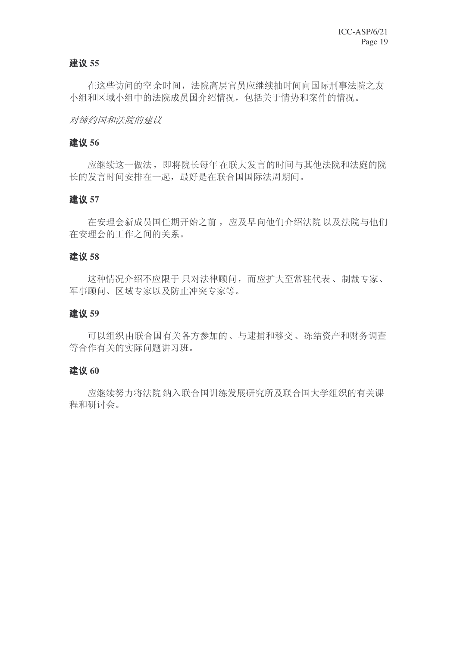#### 建议 55

在这些访问的空余时间, 法院高层官员应继续抽时间向国际刑事法院之友 小组和区域小组中的法院成员国介绍情况,包括关于情势和案件的情况。

#### 对缔约国和法院的建议

#### 建议 56

应继续这一做法,即将院长每年在联大发言的时间与其他法院和法庭的院 长的发言时间安排在一起,最好是在联合国国际法周期间。

#### 建议 57

在安理会新成员国任期开始之前,应及早向他们介绍法院以及法院与他们 在安理会的工作之间的关系。

#### ᓎ䆂 **58**

这种情况介绍不应限于只对法律顾问,而应扩大至常驻代表、制裁专家、 军事顾问、区域专家以及防止冲突专家等。

#### ᓎ䆂 **59**

可以组织由联合国有关各方参加的、与逮捕和移交、冻结资产和财务调查 等合作有关的实际问题讲习班。

#### 建议 60

应继续努力将法院 纳入联合国训练发展研究所及联合国大学组织的有关课 程和研讨会。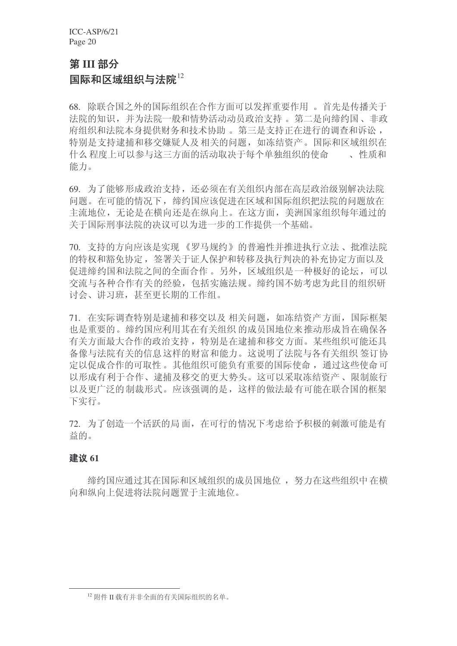# **第III 部分**

### 国际和区域组织与法院 $^{12}$

68. 除联合国之外的国际组织在合作方面可以发挥重要作用。首先是传播关于 法院的知识,并为法院一般和情势活动动员政治支持。第二是向缔约国、非政 府组织和法院本身提供财务和技术协助。第三是支持正在进行的调查和诉讼, 特别是支持逮捕和移交嫌疑人及相关的问题, 如冻结资产。国际和区域组织在 什么程度上可以参与这三方面的活动取决于每个单独组织的使命。。性质和 能力。

69. 为了能够形成政治支持, 还必须在有关组织内部在高层政治级别解决法院 问题。在可能的情况下, 缔约国应该促进在区域和国际组织把法院的问题放在 主流地位, 无论是在横向还是在纵向上。在这方面, 美洲国家组织每年通过的 关于国际刑事法院的决议可以为进一步的工作提供一个基础。

70. 支持的方向应该是实现《罗马规约》的普遍性并推进执行立法、批准法院 的特权和豁免协定, 签署关于证人保护和转移及执行判决的补充协定方面以及 促讲缔约国和法院之间的全面合作。另外, 区域组织是一种极好的论坛, 可以 交流与各种合作有关的经验, 包括实施法规。缔约国不妨考虑为此目的组织研 讨会、讲习班, 甚至更长期的工作组。

71. 在实际调杳特别是逮捕和移交以及相关问题,如冻结资产方面, 国际框架 也是重要的。缔约国应利用其在有关组织 的成员国地位来推动形成旨在确保各 有关方面最大合作的政治支持, 特别是在逮捕和移交方面。某些组织可能还具 备像与法院有关的信息这样的财富和能力。这说明了法院与各有关组织 签订协 定以促成合作的可取性。其他组织可能负有重要的国际使命, 通过这些使命可 以形成有利于合作、逮捕及移交的更大势头。这可以采取冻结资产、限制旅行 以及更广泛的制裁形式。应该强调的是,这样的做法最有可能在联合国的框架 下实行。

72. 为了创造一个活跃的局面, 在可行的情况下考虑给予积极的刺激可能是有 益的。

#### 建议 61

缔约国应通讨其在国际和区域组织的成员国地位, 努力在这些组织中在横 向和纵向上促讲将法院问题置于主流地位。

 $^{12}$  附件 II 载有并非全面的有关国际组织的名单。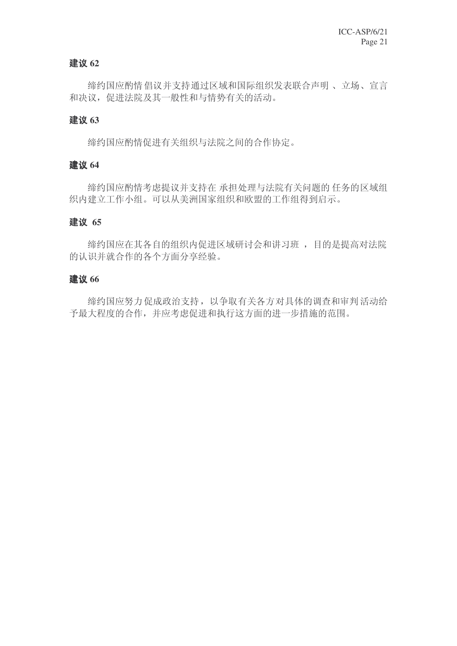#### 建议 62

缔约国应酌情倡议并支持通过区域和国际组织发表联合声明、立场、宣言 和决议, 促进法院及其一般性和与情势有关的活动。

#### 建议 63

缔约国应酌情促进有关组织与法院之间的合作协定。

#### 建议 64

缔约国应酌情考虑提议并支持在 承担处理与法院有关问题的 任务的区域组 织内建立工作小组。可以从美洲国家组织和欧盟的工作组得到启示。

#### ᓎ䆂 **65**

缔约国应在其各自的组织内促进区域研讨会和讲习班,目的是提高对法院 的认识并就合作的各个方面分享经验。

#### 建议 66

缔约国应努力促成政治支持,以争取有关各方对具体的调查和审判活动给 予最大程度的合作,并应考虑促进和执行这方面的进一步措施的范围。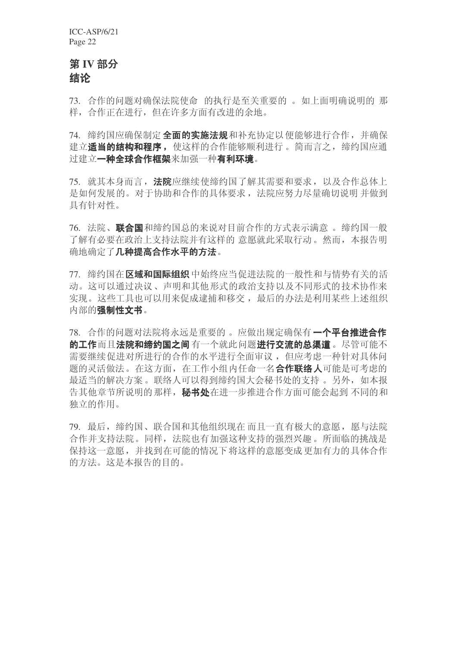# 第 IV 部分 结论

73. 合作的问题对确保法院使命 的执行是至关重要的。如上面明确说明的那 样, 合作正在讲行, 但在许多方面有改讲的余地。

74. 缔约国应确保制定 全面的实施法规和补充协定以便能够进行合作, 并确保 建立适当的结构和程序, 使这样的合作能够顺利进行。简而言之, 缔约国应通 过建立一种全球合作框架来加强一种有利环境。

75. 就其本身而言, 法院应继续使缔约国了解其需要和要求, 以及合作总体上 是如何发展的。对于协助和合作的具体要求, 法院应努力尽量确切说明 并做到 具有针对性。

76. 法院、**联合国**和缔约国总的来说对目前合作的方式表示满意 。缔约国一般 了解有必要在政治上支持法院并有这样的意愿就此采取行动。然而,本报告明 确地确定了几种提高合作水平的方法。

77. 缔约国在区域和国际组织中始终应当促进法院的一般性和与情势有关的活 动。这可以通过决议、声明和基他形式的政治支持以及不同形式的技术协作来 实现。这些工具也可以用来促成逮捕和移交, 最后的办法是利用某些上述组织 内部的强制性文书。

78. 合作的问题对法院将永远是重要的。应做出规定确保有一个平台推讲合作 的工作而且法院和缔约国之间有一个就此问题进行交流的总渠道。尽管可能不 需要继续促进对所进行的合作的水平进行全面审议,但应考虑一种针对具体问 题的灵活做法。在这方面, 在工作小组内任命一名A作联络人可能是可考虑的 最适当的解决方案。联络人可以得到缔约国大会秘书处的支持。另外, 如本报 告其他章节所说明的那样, 秘书处在进一步推进合作方面可能会起到 不同的和 独立的作用。

79. 最后, 缔约国、联合国和其他组织现在而且一直有极大的意愿, 愿与法院 合作并支持法院。同样, 法院也有加强这种支持的强烈兴趣。所面临的挑战是 保持这一意愿,并找到在可能的情况下将这样的意愿变成更加有力的具体合作 的方法。这是本报告的目的。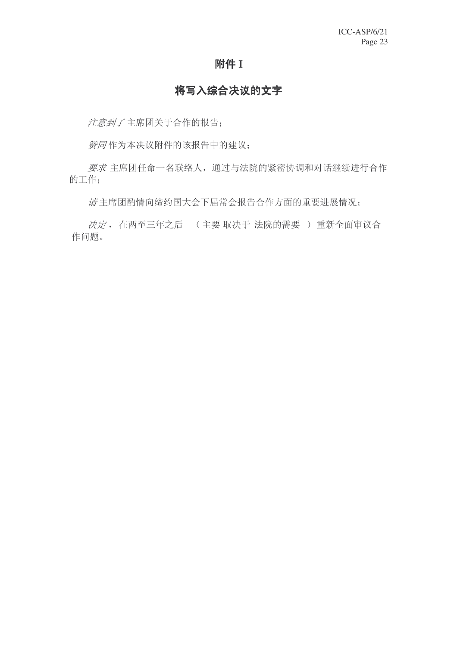#### 附件 I

# 将写入综合决议的文字

注意到了主席团关于合作的报告;

赞同作为本决议附件的该报告中的建议;

要求主席团任命一名联络人,通过与法院的紧密协调和对话继续进行合作 的工作;

清主席团酌情向缔约国大会下届常会报告合作方面的重要进展情况;

决定, 在两至三年之后 (主要 取决于 法院的需要) 重新全面审议合 作问题。